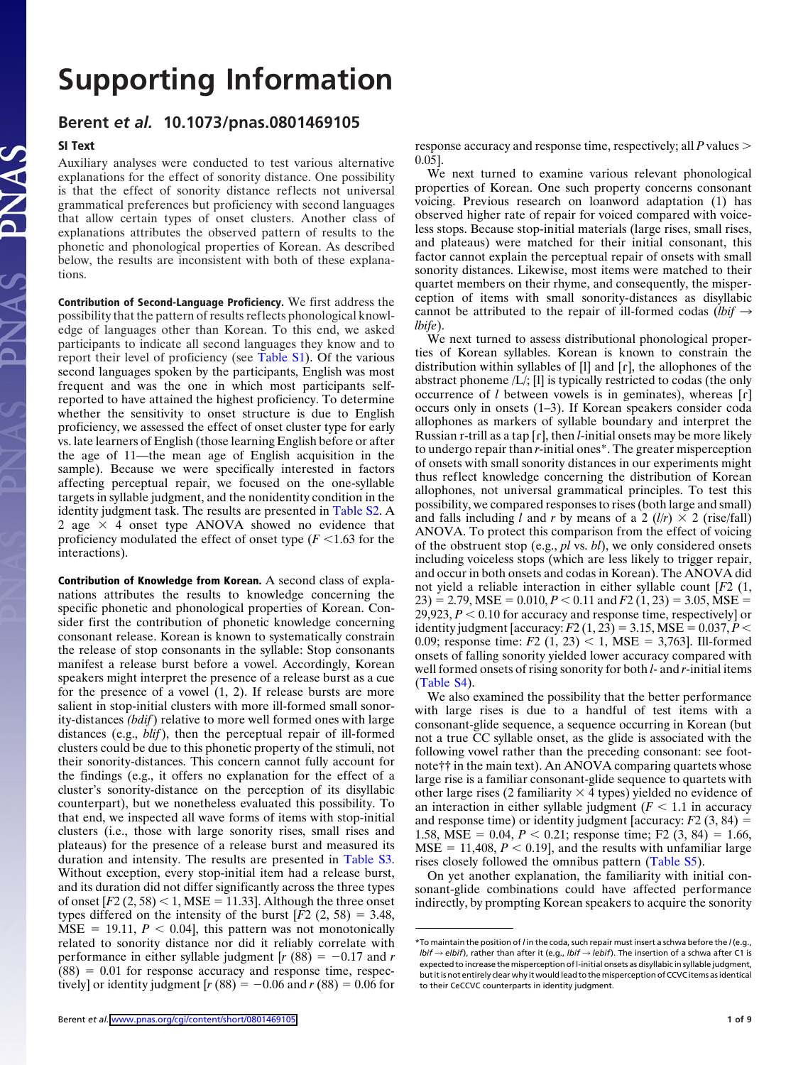# **Supporting Information**

## **Berent** *et al.* **10.1073/pnas.0801469105**

#### **SI Text**

Auxiliary analyses were conducted to test various alternative explanations for the effect of sonority distance. One possibility is that the effect of sonority distance reflects not universal grammatical preferences but proficiency with second languages that allow certain types of onset clusters. Another class of explanations attributes the observed pattern of results to the phonetic and phonological properties of Korean. As described below, the results are inconsistent with both of these explanations.

**Contribution of Second-Language Proficiency.** We first address the possibility that the pattern of results reflects phonological knowledge of languages other than Korean. To this end, we asked participants to indicate all second languages they know and to report their level of proficiency (see [Table S1\)](http://www.pnas.org/cgi/content/full//DCSupplemental/Supplemental_PDF#nameddest=ST1). Of the various second languages spoken by the participants, English was most frequent and was the one in which most participants selfreported to have attained the highest proficiency. To determine whether the sensitivity to onset structure is due to English proficiency, we assessed the effect of onset cluster type for early vs. late learners of English (those learning English before or after the age of 11—the mean age of English acquisition in the sample). Because we were specifically interested in factors affecting perceptual repair, we focused on the one-syllable targets in syllable judgment, and the nonidentity condition in the identity judgment task. The results are presented in [Table S2.](http://www.pnas.org/cgi/content/full//DCSupplemental/Supplemental_PDF#nameddest=ST1) A 2 age  $\times$  4 onset type ANOVA showed no evidence that proficiency modulated the effect of onset type  $(F \le 1.63$  for the interactions).

**Contribution of Knowledge from Korean.** A second class of explanations attributes the results to knowledge concerning the specific phonetic and phonological properties of Korean. Consider first the contribution of phonetic knowledge concerning consonant release. Korean is known to systematically constrain the release of stop consonants in the syllable: Stop consonants manifest a release burst before a vowel. Accordingly, Korean speakers might interpret the presence of a release burst as a cue for the presence of a vowel (1, 2). If release bursts are more salient in stop-initial clusters with more ill-formed small sonority-distances *(bdif*) relative to more well formed ones with large distances (e.g., *blif*), then the perceptual repair of ill-formed clusters could be due to this phonetic property of the stimuli, not their sonority-distances. This concern cannot fully account for the findings (e.g., it offers no explanation for the effect of a cluster's sonority-distance on the perception of its disyllabic counterpart), but we nonetheless evaluated this possibility. To that end, we inspected all wave forms of items with stop-initial clusters (i.e., those with large sonority rises, small rises and plateaus) for the presence of a release burst and measured its duration and intensity. The results are presented in [Table S3.](http://www.pnas.org/cgi/content/full//DCSupplemental/Supplemental_PDF#nameddest=ST2) Without exception, every stop-initial item had a release burst, and its duration did not differ significantly across the three types of onset  $[F2 (2, 58) < 1, \text{MSE} = 11.33]$ . Although the three onset types differed on the intensity of the burst  $[F2 (2, 58) = 3.48]$ ,  $MSE = 19.11, P < 0.04$ , this pattern was not monotonically related to sonority distance nor did it reliably correlate with performance in either syllable judgment  $[r (88) = -0.17$  and *r*  $(88) = 0.01$  for response accuracy and response time, respectively] or identity judgment  $[r (88) = -0.06$  and  $r (88) = 0.06$  for

response accuracy and response time, respectively; all *P* values 0.05].

We next turned to examine various relevant phonological properties of Korean. One such property concerns consonant voicing. Previous research on loanword adaptation (1) has observed higher rate of repair for voiced compared with voiceless stops. Because stop-initial materials (large rises, small rises, and plateaus) were matched for their initial consonant, this factor cannot explain the perceptual repair of onsets with small sonority distances. Likewise, most items were matched to their quartet members on their rhyme, and consequently, the misperception of items with small sonority-distances as disyllabic cannot be attributed to the repair of ill-formed codas (*lbif*  $\rightarrow$ *lbife*).

We next turned to assess distributional phonological properties of Korean syllables. Korean is known to constrain the distribution within syllables of [l] and [ɾ], the allophones of the abstract phoneme /L/; [l] is typically restricted to codas (the only occurrence of *l* between vowels is in geminates), whereas [ɾ] occurs only in onsets (1–3). If Korean speakers consider coda allophones as markers of syllable boundary and interpret the Russian r-trill as a tap [ɾ], then *l*-initial onsets may be more likely to undergo repair than *r*-initial ones\*. The greater misperception of onsets with small sonority distances in our experiments might thus reflect knowledge concerning the distribution of Korean allophones, not universal grammatical principles. To test this possibility, we compared responses to rises (both large and small) and falls including *l* and *r* by means of a 2 (*l*/*r*)  $\times$  2 (rise/fall) ANOVA. To protect this comparison from the effect of voicing of the obstruent stop (e.g., *pl* vs. *bl*), we only considered onsets including voiceless stops (which are less likely to trigger repair, and occur in both onsets and codas in Korean). The ANOVA did not yield a reliable interaction in either syllable count [*F*2 (1,  $(23) = 2.79$ , MSE =  $0.010$ ,  $P < 0.11$  and  $F2$  (1, 23) = 3.05, MSE =  $29,923, P < 0.10$  for accuracy and response time, respectively] or identity judgment [accuracy:  $F2(1, 23) = 3.15$ , MSE =  $0.037, P <$ 0.09; response time:  $F2$  (1, 23)  $\leq$  1, MSE = 3,763]. Ill-formed onsets of falling sonority yielded lower accuracy compared with well formed onsets of rising sonority for both *l*- and *r*-initial items [\(Table S4\)](http://www.pnas.org/cgi/content/full//DCSupplemental/Supplemental_PDF#nameddest=ST3).

We also examined the possibility that the better performance with large rises is due to a handful of test items with a consonant-glide sequence, a sequence occurring in Korean (but not a true CC syllable onset, as the glide is associated with the following vowel rather than the preceding consonant: see footnote†† in the main text). An ANOVA comparing quartets whose large rise is a familiar consonant-glide sequence to quartets with other large rises (2 familiarity  $\times$  4 types) yielded no evidence of an interaction in either syllable judgment  $(F < 1.1$  in accuracy and response time) or identity judgment [accuracy:  $F2(3, 84) =$ 1.58, MSE =  $0.04$ ,  $P < 0.21$ ; response time; F2 (3, 84) = 1.66,  $MSE = 11,408, P < 0.19$ , and the results with unfamiliar large rises closely followed the omnibus pattern [\(Table S5\)](http://www.pnas.org/cgi/content/full//DCSupplemental/Supplemental_PDF#nameddest=ST4).

On yet another explanation, the familiarity with initial consonant-glide combinations could have affected performance indirectly, by prompting Korean speakers to acquire the sonority

<sup>\*</sup>To maintain the position of*l* in the coda, such repair must insert a schwa before the *l* (e.g., *lbif* → *elbif*), rather than after it (e.g., *lbif* → *lebif*). The insertion of a schwa after C1 is expected to increase the misperception of l-initial onsets as disyllabic in syllable judgment, but it is not entirely clear why it would lead to the misperception of CCVC items as identical to their CeCCVC counterparts in identity judgment.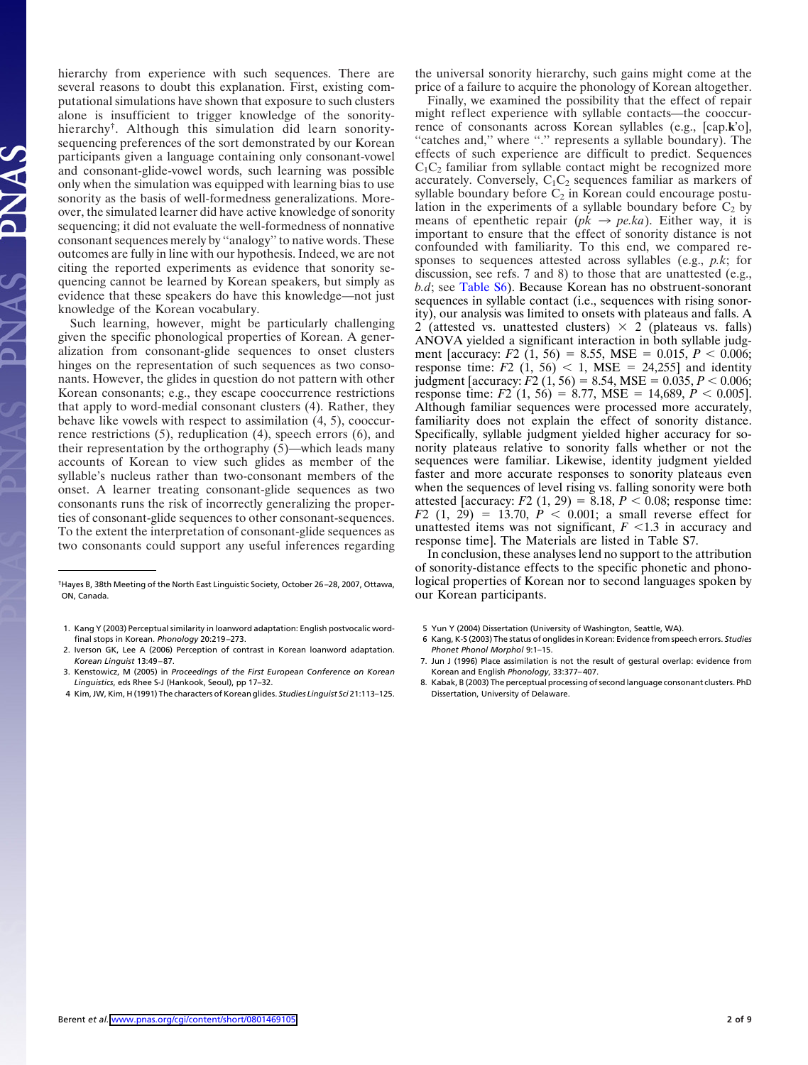hierarchy from experience with such sequences. There are several reasons to doubt this explanation. First, existing computational simulations have shown that exposure to such clusters alone is insufficient to trigger knowledge of the sonorityhierarchy<sup>†</sup>. Although this simulation did learn sonoritysequencing preferences of the sort demonstrated by our Korean participants given a language containing only consonant-vowel and consonant-glide-vowel words, such learning was possible only when the simulation was equipped with learning bias to use sonority as the basis of well-formedness generalizations. Moreover, the simulated learner did have active knowledge of sonority sequencing; it did not evaluate the well-formedness of nonnative consonant sequences merely by ''analogy'' to native words. These outcomes are fully in line with our hypothesis. Indeed, we are not citing the reported experiments as evidence that sonority sequencing cannot be learned by Korean speakers, but simply as evidence that these speakers do have this knowledge—not just knowledge of the Korean vocabulary.

Such learning, however, might be particularly challenging given the specific phonological properties of Korean. A generalization from consonant-glide sequences to onset clusters hinges on the representation of such sequences as two consonants. However, the glides in question do not pattern with other Korean consonants; e.g., they escape cooccurrence restrictions that apply to word-medial consonant clusters (4). Rather, they behave like vowels with respect to assimilation (4, 5), cooccurrence restrictions (5), reduplication (4), speech errors (6), and their representation by the orthography (5)—which leads many accounts of Korean to view such glides as member of the syllable's nucleus rather than two-consonant members of the onset. A learner treating consonant-glide sequences as two consonants runs the risk of incorrectly generalizing the properties of consonant-glide sequences to other consonant-sequences. To the extent the interpretation of consonant-glide sequences as two consonants could support any useful inferences regarding

- 1. Kang Y (2003) Perceptual similarity in loanword adaptation: English postvocalic wordfinal stops in Korean. *Phonology* 20:219 –273.
- 2. Iverson GK, Lee A (2006) Perception of contrast in Korean loanword adaptation. *Korean Linguist* 13:49 – 87.
- 3. Kenstowicz, M (2005) in *Proceedings of the First European Conference on Korean Linguistics*, eds Rhee S-J (Hankook, Seoul), pp 17–32.
- 4 Kim, JW, Kim, H (1991) The characters of Korean glides. *Studies Linguist Sci* 21:113–125.

the universal sonority hierarchy, such gains might come at the price of a failure to acquire the phonology of Korean altogether.

Finally, we examined the possibility that the effect of repair might reflect experience with syllable contacts—the cooccurrence of consonants across Korean syllables (e.g., [cap.**k**'o], "catches and," where "." represents a syllable boundary). The effects of such experience are difficult to predict. Sequences  $C_1C_2$  familiar from syllable contact might be recognized more accurately. Conversely,  $C_1C_2$  sequences familiar as markers of syllable boundary before  $C_2$  in Korean could encourage postulation in the experiments of a syllable boundary before  $C_2$  by means of epenthetic repair ( $pk \rightarrow pe.ka$ ). Either way, it is important to ensure that the effect of sonority distance is not confounded with familiarity. To this end, we compared responses to sequences attested across syllables (e.g., *p.k*; for discussion, see refs. 7 and 8) to those that are unattested (e.g., *b.d*; see Table S<sub>6</sub>). Because Korean has no obstruent-sonorant sequences in syllable contact (i.e., sequences with rising sonority), our analysis was limited to onsets with plateaus and falls. A 2 (attested vs. unattested clusters)  $\times$  2 (plateaus vs. falls) ANOVA yielded a significant interaction in both syllable judgment [accuracy:  $F2$  (1, 56) = 8.55, MSE = 0.015,  $P < 0.006$ ; response time:  $F2$   $(1, 56) < 1$ , MSE = 24,255] and identity judgment [accuracy:  $F2(1, 56) = 8.54$ , MSE =  $0.035, P < 0.006$ ; response time:  $F2$  (1, 56) = 8.77, MSE = 14,689,  $P < 0.005$ ]. Although familiar sequences were processed more accurately, familiarity does not explain the effect of sonority distance. Specifically, syllable judgment yielded higher accuracy for sonority plateaus relative to sonority falls whether or not the sequences were familiar. Likewise, identity judgment yielded faster and more accurate responses to sonority plateaus even when the sequences of level rising vs. falling sonority were both attested [accuracy:  $F2(1, 29) = 8.18, P < 0.08$ ; response time:  $F2(1, 29) = 13.70, P < 0.001;$  a small reverse effect for unattested items was not significant,  $F \leq 1.3$  in accuracy and response time]. The Materials are listed in Table S7.

In conclusion, these analyses lend no support to the attribution of sonority-distance effects to the specific phonetic and phonological properties of Korean nor to second languages spoken by our Korean participants.

- 5 Yun Y (2004) Dissertation (University of Washington, Seattle, WA).
- 6 Kang, K-S (2003) The status of onglides in Korean: Evidence from speech errors. *Studies Phonet Phonol Morphol* 9:1–15.
- 7. Jun J (1996) Place assimilation is not the result of gestural overlap: evidence from Korean and English *Phonology*, 33:377– 407.
- 8. Kabak, B (2003) The perceptual processing of second language consonant clusters. PhD Dissertation, University of Delaware.

<sup>†</sup>Hayes B, 38th Meeting of the North East Linguistic Society, October 26 –28, 2007, Ottawa, ON, Canada.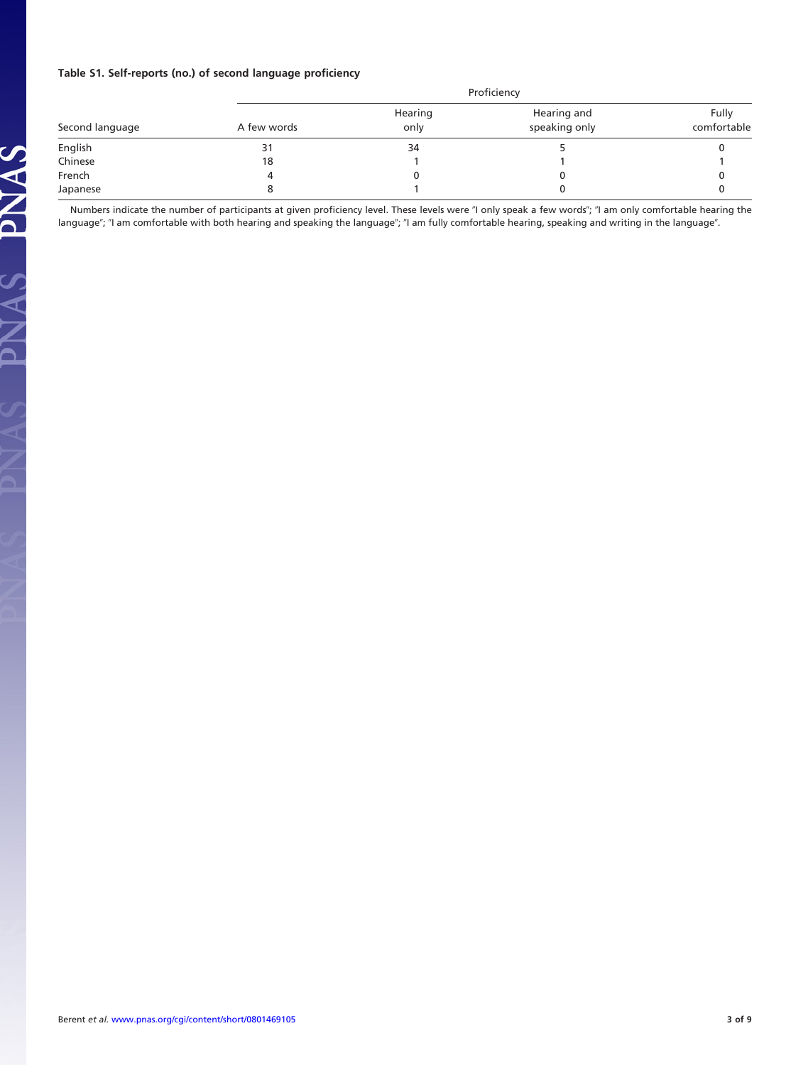#### **Table S1. Self-reports (no.) of second language proficiency**

PNAS PNAS

| Second language | Proficiency |                 |                              |                      |  |  |  |  |
|-----------------|-------------|-----------------|------------------------------|----------------------|--|--|--|--|
|                 | A few words | Hearing<br>only | Hearing and<br>speaking only | Fully<br>comfortable |  |  |  |  |
| English         | 31          | 34              |                              |                      |  |  |  |  |
| Chinese         | 18          |                 |                              |                      |  |  |  |  |
| French          |             |                 |                              |                      |  |  |  |  |
| Japanese        |             |                 |                              |                      |  |  |  |  |

Numbers indicate the number of participants at given proficiency level. These levels were "I only speak a few words"; "I am only comfortable hearing the language"; "I am comfortable with both hearing and speaking the language"; "I am fully comfortable hearing, speaking and writing in the language".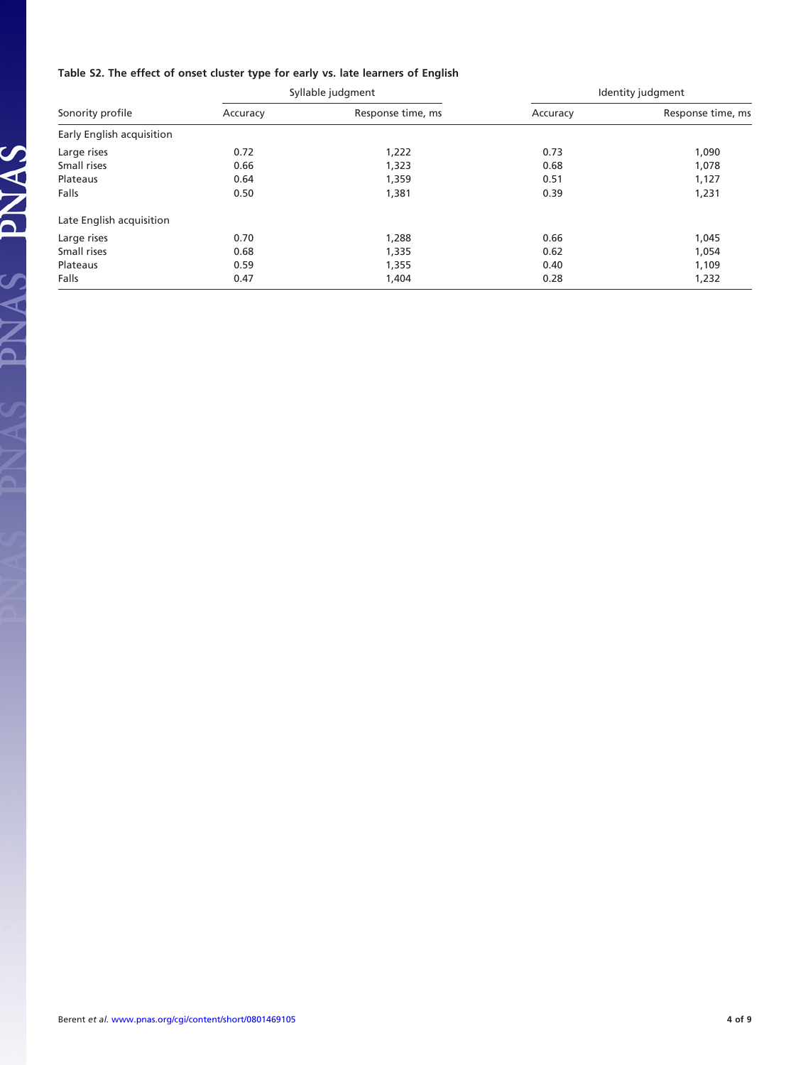#### **Table S2. The effect of onset cluster type for early vs. late learners of English**

|                           |                               | Syllable judgment | Identity judgment |                   |  |
|---------------------------|-------------------------------|-------------------|-------------------|-------------------|--|
| Sonority profile          | Response time, ms<br>Accuracy |                   | Accuracy          | Response time, ms |  |
| Early English acquisition |                               |                   |                   |                   |  |
| Large rises               | 0.72                          | 1,222             | 0.73              | 1,090             |  |
| Small rises               | 0.66                          | 1,323             | 0.68              | 1,078             |  |
| Plateaus                  | 0.64                          | 1,359             | 0.51              | 1,127             |  |
| Falls                     | 0.50                          | 1,381             | 0.39              | 1,231             |  |
| Late English acquisition  |                               |                   |                   |                   |  |
| Large rises               | 0.70                          | 1,288             | 0.66              | 1,045             |  |
| Small rises               | 0.68                          | 1,335             | 0.62              | 1,054             |  |
| Plateaus                  | 0.59                          | 1,355             | 0.40              | 1,109             |  |
| Falls                     | 0.47                          | 1,404             | 0.28<br>1,232     |                   |  |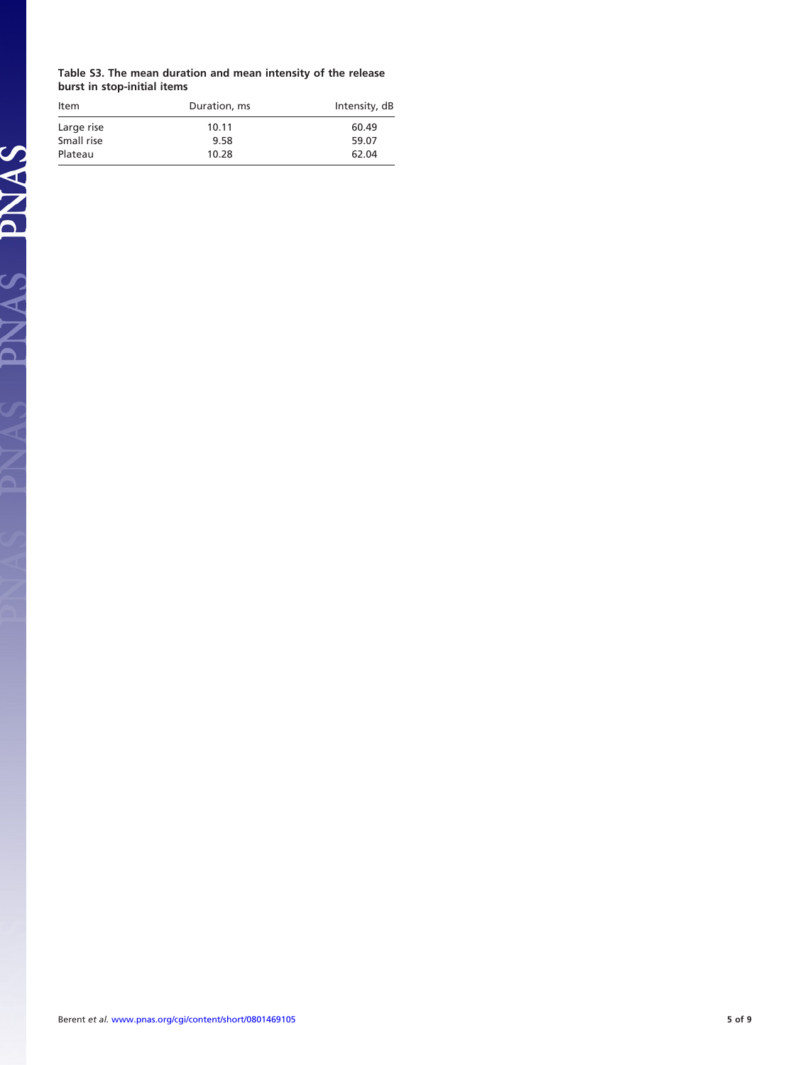**Table S3. The mean duration and mean intensity of the release burst in stop-initial items**

| Duration, ms | Intensity, dB |
|--------------|---------------|
| 10.11        | 60.49         |
| 9.58         | 59.07         |
| 10.28        | 62.04         |
|              |               |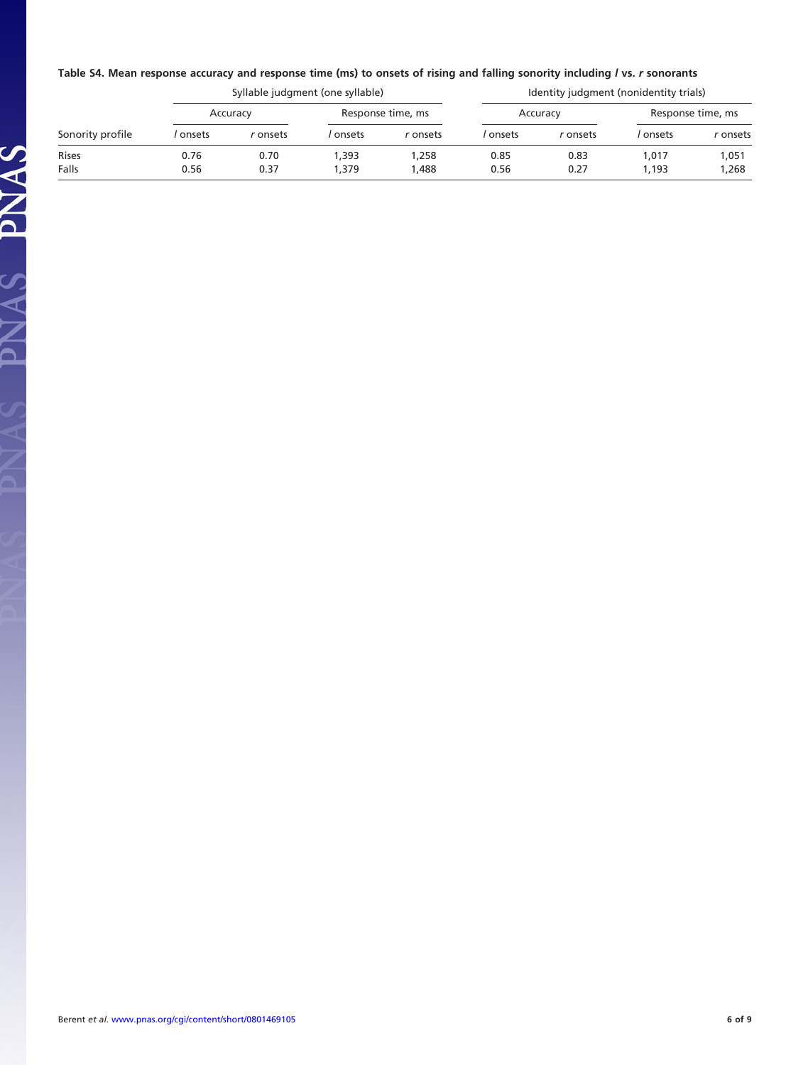### **Table S4. Mean response accuracy and response time (ms) to onsets of rising and falling sonority including** *l* **vs.** *r* **sonorants**

|                  |          | Syllable judgment (one syllable) |                   |          |          | Identity judgment (nonidentity trials) |                   |          |  |
|------------------|----------|----------------------------------|-------------------|----------|----------|----------------------------------------|-------------------|----------|--|
| Sonority profile | Accuracy |                                  | Response time, ms |          | Accuracy |                                        | Response time, ms |          |  |
|                  | l onsets | onsets <sup>.</sup>              | l onsets          | r onsets | onsets   | r onsets                               | onsets            | r onsets |  |
| <b>Rises</b>     | 0.76     | 0.70                             | .393              | .258     | 0.85     | 0.83                                   | 1,017             | 1,051    |  |
| Falls            | 0.56     | 0.37                             | .379              | .488     | 0.56     | 0.27                                   | 1,193             | 1.268    |  |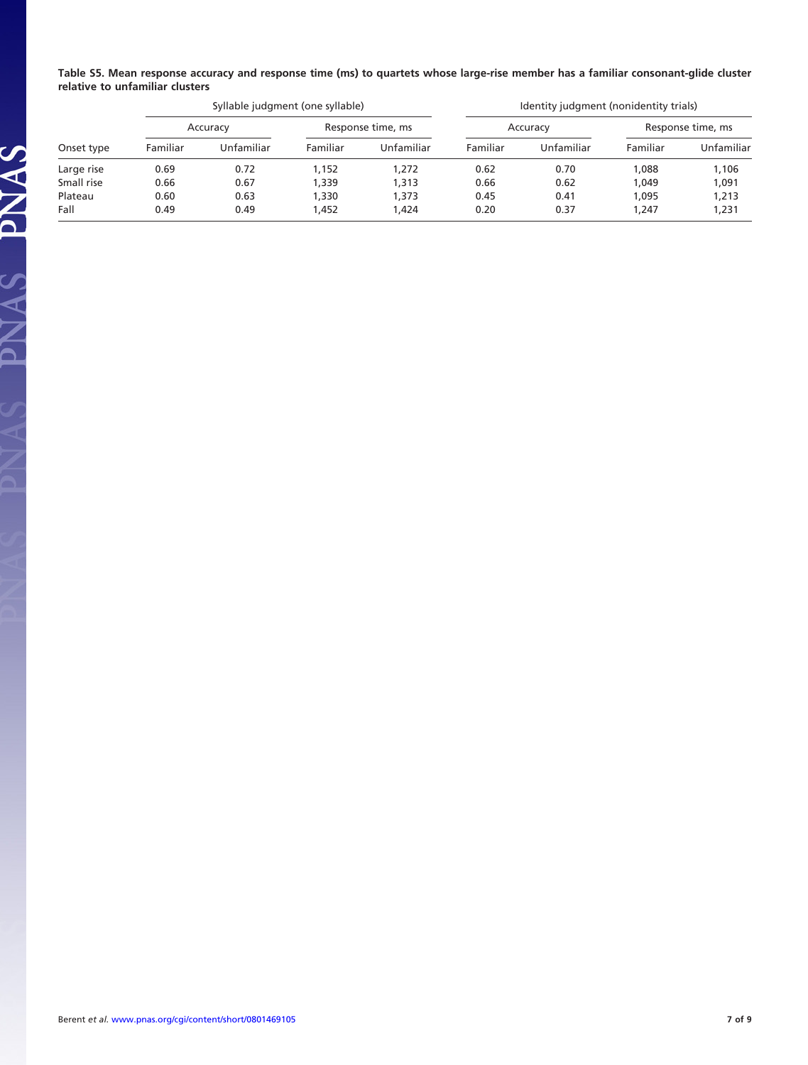**Table S5. Mean response accuracy and response time (ms) to quartets whose large-rise member has a familiar consonant-glide cluster relative to unfamiliar clusters**

|            |          | Syllable judgment (one syllable) |          |                   | Identity judgment (nonidentity trials) |            |          |                   |  |
|------------|----------|----------------------------------|----------|-------------------|----------------------------------------|------------|----------|-------------------|--|
|            |          | Accuracy                         |          | Response time, ms |                                        | Accuracy   |          | Response time, ms |  |
| Onset type | Familiar | Unfamiliar                       | Familiar | Unfamiliar        | Familiar                               | Unfamiliar | Familiar | Unfamiliar        |  |
| Large rise | 0.69     | 0.72                             | 1.152    | 1.272             | 0.62                                   | 0.70       | .088     | 1.106             |  |
| Small rise | 0.66     | 0.67                             | 1,339    | 1,313             | 0.66                                   | 0.62       | 1.049    | 1,091             |  |
| Plateau    | 0.60     | 0.63                             | 1,330    | 1,373             | 0.45                                   | 0.41       | 1.095    | 1,213             |  |
| Fall       | 0.49     | 0.49                             | 1.452    | 1.424             | 0.20                                   | 0.37       | 1.247    | 1,231             |  |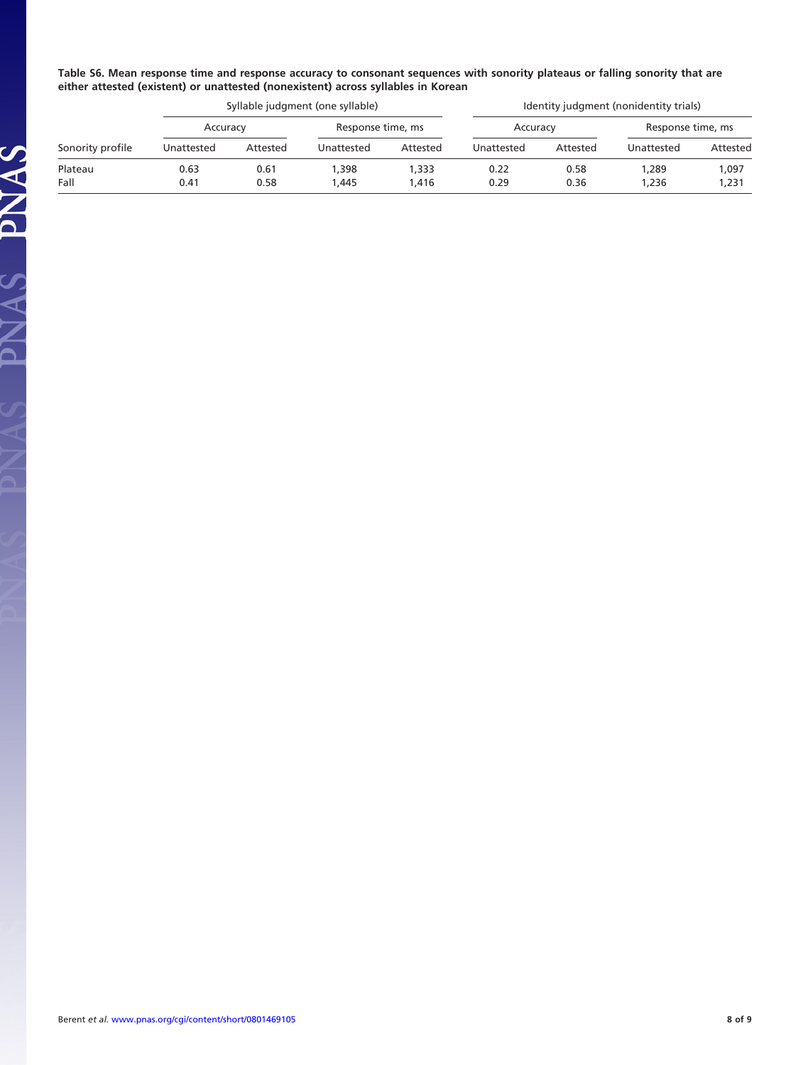**Table S6. Mean response time and response accuracy to consonant sequences with sonority plateaus or falling sonority that are either attested (existent) or unattested (nonexistent) across syllables in Korean**

|                  | Syllable judgment (one syllable) |          |                   |          | Identity judgment (nonidentity trials) |          |                   |          |
|------------------|----------------------------------|----------|-------------------|----------|----------------------------------------|----------|-------------------|----------|
|                  | Accuracy                         |          | Response time, ms |          | Accuracy                               |          | Response time, ms |          |
| Sonority profile | Unattested                       | Attested | Unattested        | Attested | Unattested                             | Attested | Unattested        | Attested |
| Plateau          | 0.63                             | 0.61     | .398              | .333     | 0.22                                   | 0.58     | 1.289             | 1,097    |
| Fall             | 0.41                             | 0.58     | 1.445             | .416     | 0.29                                   | 0.36     | 1.236             | 1,231    |